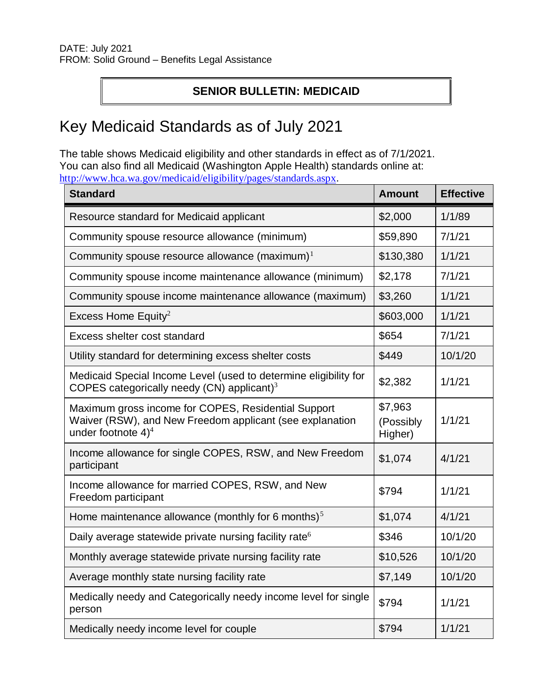## **SENIOR BULLETIN: MEDICAID**

## Key Medicaid Standards as of July 2021

The table shows Medicaid eligibility and other standards in effect as of 7/1/2021. You can also find all Medicaid (Washington Apple Health) standards online at: <http://www.hca.wa.gov/medicaid/eligibility/pages/standards.aspx>.

| <b>Standard</b>                                                                                                                          | <b>Amount</b>                   | <b>Effective</b> |
|------------------------------------------------------------------------------------------------------------------------------------------|---------------------------------|------------------|
| Resource standard for Medicaid applicant                                                                                                 | \$2,000                         | 1/1/89           |
| Community spouse resource allowance (minimum)                                                                                            | \$59,890                        | 7/1/21           |
| Community spouse resource allowance $(maximum)^1$                                                                                        | \$130,380                       | 1/1/21           |
| Community spouse income maintenance allowance (minimum)                                                                                  | \$2,178                         | 7/1/21           |
| Community spouse income maintenance allowance (maximum)                                                                                  | \$3,260                         | 1/1/21           |
| Excess Home Equity <sup>2</sup>                                                                                                          | \$603,000                       | 1/1/21           |
| Excess shelter cost standard                                                                                                             | \$654                           | 7/1/21           |
| Utility standard for determining excess shelter costs                                                                                    | \$449                           | 10/1/20          |
| Medicaid Special Income Level (used to determine eligibility for<br>COPES categorically needy (CN) applicant) $3$                        | \$2,382                         | 1/1/21           |
| Maximum gross income for COPES, Residential Support<br>Waiver (RSW), and New Freedom applicant (see explanation<br>under footnote $4)^4$ | \$7,963<br>(Possibly<br>Higher) | 1/1/21           |
| Income allowance for single COPES, RSW, and New Freedom<br>participant                                                                   | \$1,074                         | 4/1/21           |
| Income allowance for married COPES, RSW, and New<br>Freedom participant                                                                  | \$794                           | 1/1/21           |
| Home maintenance allowance (monthly for 6 months) $5$                                                                                    | \$1,074                         | 4/1/21           |
| Daily average statewide private nursing facility rate <sup>6</sup>                                                                       | \$346                           | 10/1/20          |
| Monthly average statewide private nursing facility rate                                                                                  | \$10,526                        | 10/1/20          |
| Average monthly state nursing facility rate                                                                                              | \$7,149                         | 10/1/20          |
| Medically needy and Categorically needy income level for single<br>person                                                                | \$794                           | 1/1/21           |
| Medically needy income level for couple                                                                                                  | \$794                           | 1/1/21           |